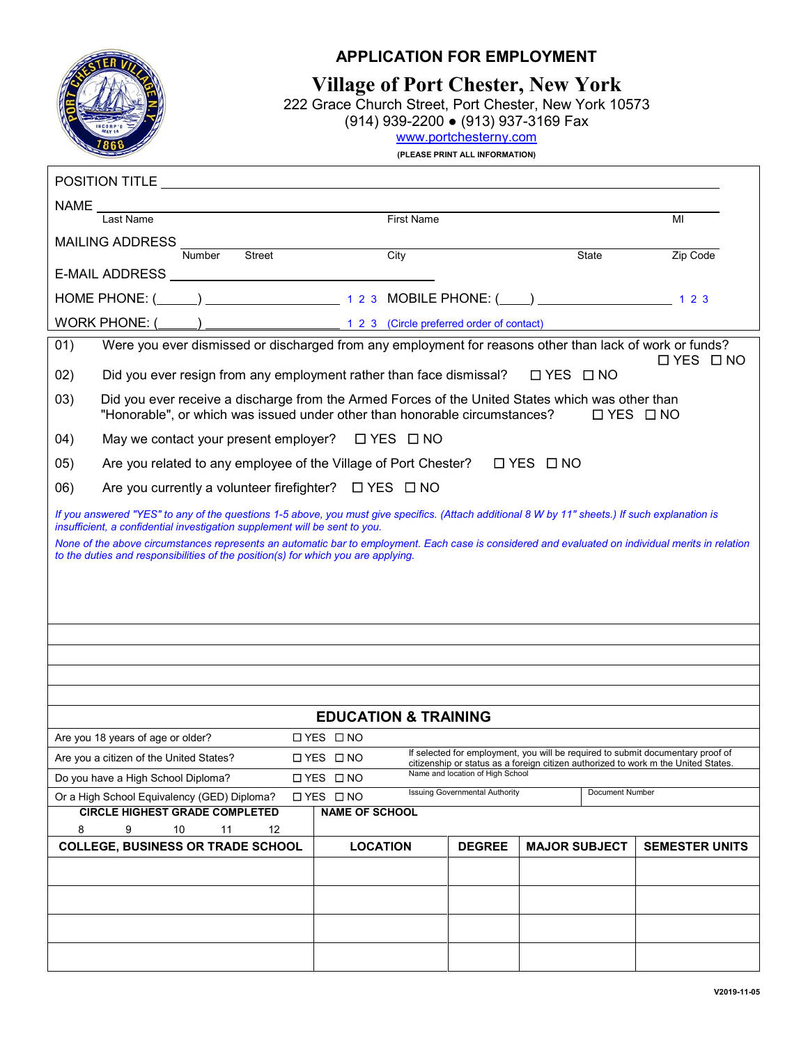

## **APPLICATION FOR EMPLOYMENT**

**Village of Port Chester, New York**

222 Grace Church Street, Port Chester, New York 10573

(914) 939-2200 ● (913) 937-3169 Fax

[www.portchesterny.com](http://www.portchesterny.com/)

**(PLEASE PRINT ALL INFORMATION)**

| <b>First Name</b><br>Last Name<br>MI                                                                                                                                                                                          |  |  |  |  |  |  |  |  |
|-------------------------------------------------------------------------------------------------------------------------------------------------------------------------------------------------------------------------------|--|--|--|--|--|--|--|--|
| <b>MAILING ADDRESS</b><br><b>Street</b><br>City<br>Number<br>State<br>Zip Code                                                                                                                                                |  |  |  |  |  |  |  |  |
|                                                                                                                                                                                                                               |  |  |  |  |  |  |  |  |
|                                                                                                                                                                                                                               |  |  |  |  |  |  |  |  |
|                                                                                                                                                                                                                               |  |  |  |  |  |  |  |  |
| Were you ever dismissed or discharged from any employment for reasons other than lack of work or funds?<br>01)<br>$\Box$ YES $\Box$ NO                                                                                        |  |  |  |  |  |  |  |  |
| □ YES □ NO<br>02)<br>Did you ever resign from any employment rather than face dismissal?                                                                                                                                      |  |  |  |  |  |  |  |  |
| 03)<br>Did you ever receive a discharge from the Armed Forces of the United States which was other than<br>"Honorable", or which was issued under other than honorable circumstances?<br>$\Box$ YES $\Box$ NO                 |  |  |  |  |  |  |  |  |
| (04)<br>May we contact your present employer? $\Box$ YES $\Box$ NO                                                                                                                                                            |  |  |  |  |  |  |  |  |
| 05)<br>Are you related to any employee of the Village of Port Chester? $\square$ YES $\square$ NO                                                                                                                             |  |  |  |  |  |  |  |  |
| (06)<br>Are you currently a volunteer firefighter? $\Box$ YES $\Box$ NO                                                                                                                                                       |  |  |  |  |  |  |  |  |
| If you answered "YES" to any of the questions 1-5 above, you must give specifics. (Attach additional 8 W by 11" sheets.) If such explanation is<br>insufficient, a confidential investigation supplement will be sent to you. |  |  |  |  |  |  |  |  |
| None of the above circumstances represents an automatic bar to employment. Each case is considered and evaluated on individual merits in relation                                                                             |  |  |  |  |  |  |  |  |
| to the duties and responsibilities of the position(s) for which you are applying.                                                                                                                                             |  |  |  |  |  |  |  |  |
|                                                                                                                                                                                                                               |  |  |  |  |  |  |  |  |
|                                                                                                                                                                                                                               |  |  |  |  |  |  |  |  |
|                                                                                                                                                                                                                               |  |  |  |  |  |  |  |  |
|                                                                                                                                                                                                                               |  |  |  |  |  |  |  |  |
|                                                                                                                                                                                                                               |  |  |  |  |  |  |  |  |
|                                                                                                                                                                                                                               |  |  |  |  |  |  |  |  |
| <b>EDUCATION &amp; TRAINING</b>                                                                                                                                                                                               |  |  |  |  |  |  |  |  |
| □ YES □ NO<br>Are you 18 years of age or older?<br>If selected for employment, you will be required to submit documentary proof of                                                                                            |  |  |  |  |  |  |  |  |
| Are you a citizen of the United States?<br>□ YES □ NO<br>citizenship or status as a foreign citizen authorized to work m the United States.<br>Name and location of High School                                               |  |  |  |  |  |  |  |  |
| Do you have a High School Diploma?<br>□ YES □ NO<br>Issuing Governmental Authority<br>Document Number                                                                                                                         |  |  |  |  |  |  |  |  |
| Or a High School Equivalency (GED) Diploma?<br><b>□YES □NO</b><br><b>CIRCLE HIGHEST GRADE COMPLETED</b><br><b>NAME OF SCHOOL</b>                                                                                              |  |  |  |  |  |  |  |  |
| 8<br>9<br>10<br>11<br>12                                                                                                                                                                                                      |  |  |  |  |  |  |  |  |
| <b>COLLEGE, BUSINESS OR TRADE SCHOOL</b><br><b>MAJOR SUBJECT</b><br><b>LOCATION</b><br><b>DEGREE</b><br><b>SEMESTER UNITS</b>                                                                                                 |  |  |  |  |  |  |  |  |
|                                                                                                                                                                                                                               |  |  |  |  |  |  |  |  |
|                                                                                                                                                                                                                               |  |  |  |  |  |  |  |  |
|                                                                                                                                                                                                                               |  |  |  |  |  |  |  |  |
|                                                                                                                                                                                                                               |  |  |  |  |  |  |  |  |
|                                                                                                                                                                                                                               |  |  |  |  |  |  |  |  |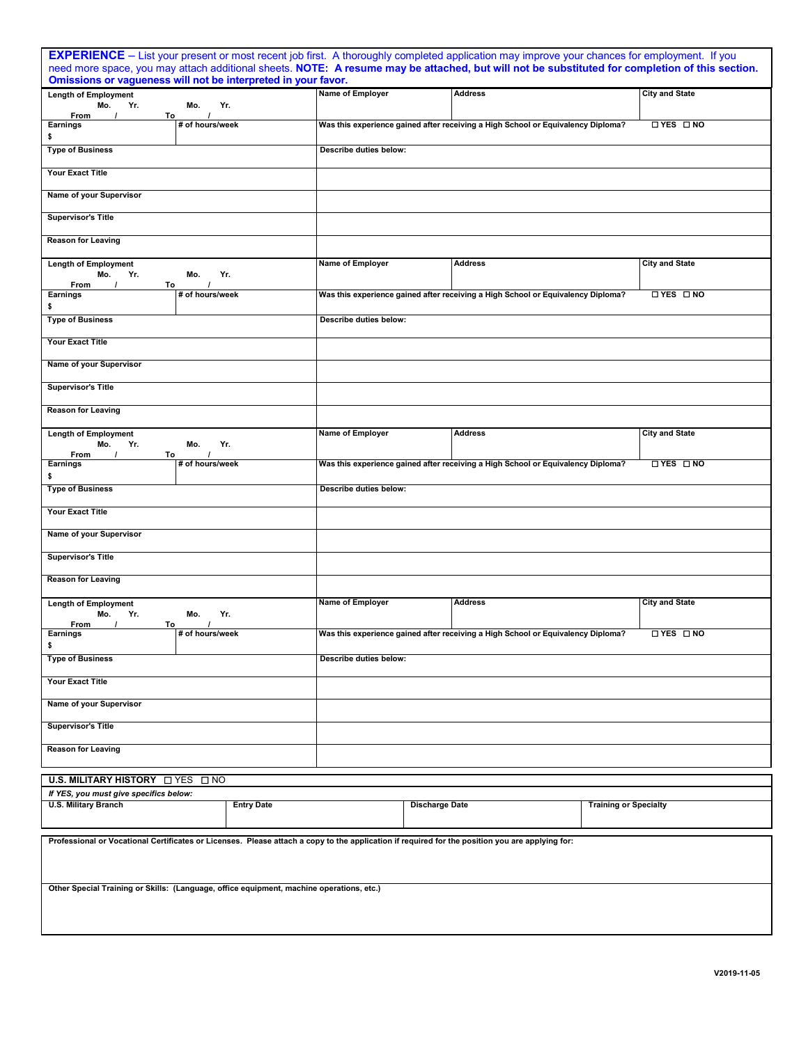| EXPERIENCE - List your present or most recent job first. A thoroughly completed application may improve your chances for employment. If you     |                             |                        |                        |                       |                                                                                                                                                |                              |                       |
|-------------------------------------------------------------------------------------------------------------------------------------------------|-----------------------------|------------------------|------------------------|-----------------------|------------------------------------------------------------------------------------------------------------------------------------------------|------------------------------|-----------------------|
|                                                                                                                                                 |                             |                        |                        |                       | need more space, you may attach additional sheets. NOTE: A resume may be attached, but will not be substituted for completion of this section. |                              |                       |
| Omissions or vagueness will not be interpreted in your favor.<br><b>Length of Employment</b>                                                    |                             |                        | Name of Employer       |                       | <b>Address</b>                                                                                                                                 |                              | <b>City and State</b> |
| Yr.<br>Mo.                                                                                                                                      | Mo.                         | Yr.                    |                        |                       |                                                                                                                                                |                              |                       |
| From<br>$\prime$<br>To<br><b>Earnings</b>                                                                                                       | $\prime$<br># of hours/week |                        |                        |                       | Was this experience gained after receiving a High School or Equivalency Diploma?                                                               |                              | $\Box$ YES $\Box$ NO  |
| \$<br><b>Type of Business</b>                                                                                                                   |                             |                        | Describe duties below: |                       |                                                                                                                                                |                              |                       |
| <b>Your Exact Title</b>                                                                                                                         |                             |                        |                        |                       |                                                                                                                                                |                              |                       |
| Name of your Supervisor                                                                                                                         |                             |                        |                        |                       |                                                                                                                                                |                              |                       |
| <b>Supervisor's Title</b>                                                                                                                       |                             |                        |                        |                       |                                                                                                                                                |                              |                       |
| <b>Reason for Leaving</b>                                                                                                                       |                             |                        |                        |                       |                                                                                                                                                |                              |                       |
| <b>Length of Employment</b><br>Yr.<br>Mo.                                                                                                       | Mo.                         | Yr.                    | Name of Employer       |                       | <b>Address</b>                                                                                                                                 |                              | <b>City and State</b> |
| From<br>$\prime$<br>То<br>Earnings                                                                                                              | # of hours/week             |                        |                        |                       | Was this experience gained after receiving a High School or Equivalency Diploma?                                                               |                              | $\Box$ YES $\Box$ NO  |
| \$                                                                                                                                              |                             |                        |                        |                       |                                                                                                                                                |                              |                       |
| <b>Type of Business</b>                                                                                                                         |                             |                        | Describe duties below: |                       |                                                                                                                                                |                              |                       |
| <b>Your Exact Title</b>                                                                                                                         |                             |                        |                        |                       |                                                                                                                                                |                              |                       |
| Name of your Supervisor                                                                                                                         |                             |                        |                        |                       |                                                                                                                                                |                              |                       |
| <b>Supervisor's Title</b>                                                                                                                       |                             |                        |                        |                       |                                                                                                                                                |                              |                       |
| <b>Reason for Leaving</b>                                                                                                                       |                             |                        |                        |                       |                                                                                                                                                |                              |                       |
| <b>Length of Employment</b><br>Yr.<br>Mo.<br>From<br>To                                                                                         | Mo.                         | Yr.                    | Name of Employer       |                       | <b>Address</b>                                                                                                                                 |                              | <b>City and State</b> |
| <b>Earnings</b><br>\$                                                                                                                           | # of hours/week             |                        |                        |                       | Was this experience gained after receiving a High School or Equivalency Diploma?                                                               |                              | □ YES □ NO            |
| <b>Type of Business</b>                                                                                                                         |                             | Describe duties below: |                        |                       |                                                                                                                                                |                              |                       |
| Your Exact Title                                                                                                                                |                             |                        |                        |                       |                                                                                                                                                |                              |                       |
| Name of your Supervisor                                                                                                                         |                             |                        |                        |                       |                                                                                                                                                |                              |                       |
| <b>Supervisor's Title</b>                                                                                                                       |                             |                        |                        |                       |                                                                                                                                                |                              |                       |
| <b>Reason for Leaving</b>                                                                                                                       |                             |                        |                        |                       |                                                                                                                                                |                              |                       |
| <b>Length of Employment</b><br>Yr.<br>Mo.                                                                                                       | Mo.                         | Yr.                    | Name of Employer       |                       | <b>Address</b>                                                                                                                                 |                              | <b>City and State</b> |
| To<br>From                                                                                                                                      | $\prime$                    |                        |                        |                       |                                                                                                                                                |                              |                       |
| Earnings<br>\$                                                                                                                                  | # of hours/week             |                        |                        |                       | Was this experience gained after receiving a High School or Equivalency Diploma?                                                               |                              | □ YES □ NO            |
| <b>Type of Business</b>                                                                                                                         |                             | Describe duties below: |                        |                       |                                                                                                                                                |                              |                       |
| <b>Your Exact Title</b>                                                                                                                         |                             |                        |                        |                       |                                                                                                                                                |                              |                       |
| Name of your Supervisor                                                                                                                         |                             |                        |                        |                       |                                                                                                                                                |                              |                       |
| <b>Supervisor's Title</b>                                                                                                                       |                             |                        |                        |                       |                                                                                                                                                |                              |                       |
| <b>Reason for Leaving</b>                                                                                                                       |                             |                        |                        |                       |                                                                                                                                                |                              |                       |
| U.S. MILITARY HISTORY ONES ONO                                                                                                                  |                             |                        |                        |                       |                                                                                                                                                |                              |                       |
| If YES, you must give specifics below:                                                                                                          |                             |                        |                        |                       |                                                                                                                                                |                              |                       |
| <b>U.S. Military Branch</b>                                                                                                                     |                             | <b>Entry Date</b>      |                        | <b>Discharge Date</b> |                                                                                                                                                | <b>Training or Specialty</b> |                       |
| Professional or Vocational Certificates or Licenses. Please attach a copy to the application if required for the position you are applying for: |                             |                        |                        |                       |                                                                                                                                                |                              |                       |
|                                                                                                                                                 |                             |                        |                        |                       |                                                                                                                                                |                              |                       |
| Other Special Training or Skills: (Language, office equipment, machine operations, etc.)                                                        |                             |                        |                        |                       |                                                                                                                                                |                              |                       |
|                                                                                                                                                 |                             |                        |                        |                       |                                                                                                                                                |                              |                       |